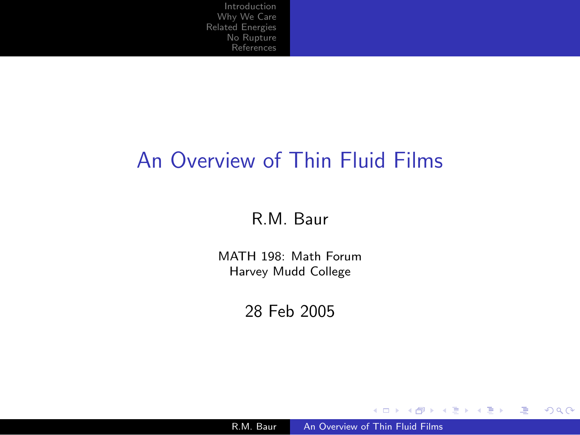### An Overview of Thin Fluid Films

#### R.M. Baur

MATH 198: Math Forum Harvey Mudd College

28 Feb 2005

R.M. Baur An [Overview](#page-15-0) of Thin Fluid Films

<span id="page-0-0"></span>メロメ メ御 メメ きょくきょう

唐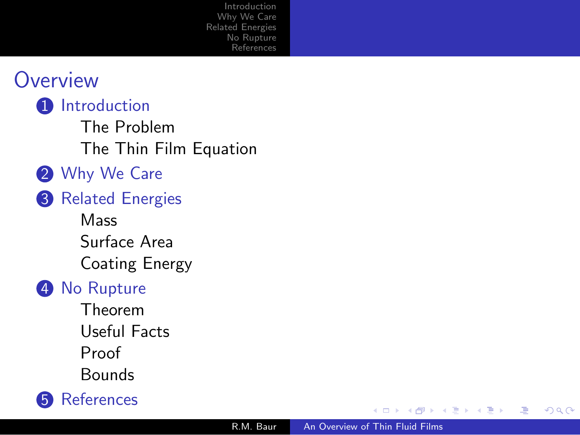

**1** [Introduction](#page-2-0)

The [Problem](#page-2-0) The Thin Film [Equation](#page-3-0)

- 2 [Why](#page-4-0) We Care
- **3** Related [Energies](#page-5-0)
	- **[Mass](#page-5-0)** [Surface](#page-6-0) Area [Coating](#page-7-0) Energy

#### **4** No [Rupture](#page-8-0)

[Theorem](#page-8-0) [Useful](#page-9-0) Facts [Proof](#page-10-0) [Bounds](#page-12-0)



Ξ

 $\sim$ ×. -b

∍

Ξ

つくへ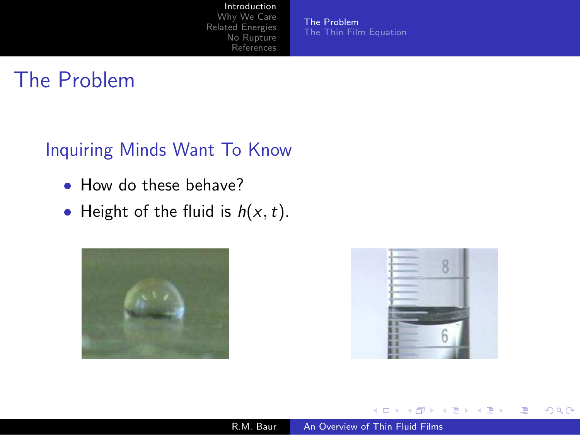#### [Introduction](#page-2-0)

[Why](#page-4-0) We Care Related [Energies](#page-5-0) No [Rupture](#page-8-0) [References](#page-15-0)

The [Problem](#page-2-0) The Thin Film [Equation](#page-3-0)

## The Problem

#### Inquiring Minds Want To Know

- How do these behave?
- Height of the fluid is  $h(x, t)$ .





<span id="page-2-0"></span>同  $\,$ → 手下 一本語 つくべ

≞

 $\rightarrow$ 

 $\leftarrow$ 

Þ a.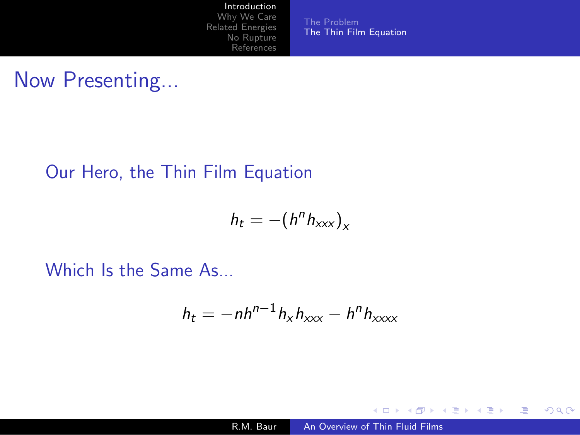[References](#page-15-0)

The [Problem](#page-2-0) The Thin Film [Equation](#page-3-0)

Now Presenting...

#### Our Hero, the Thin Film Equation

$$
h_t = -(h^n h_{xxx})_x
$$

Which Is the Same As...

$$
h_t = -nh^{n-1}h_xh_{xxx} - h^nh_{xxxx}
$$

4 0 8 4 伊  $\,$  <span id="page-3-0"></span>→ 君 ▶ → 君 ▶

 $299$ 

注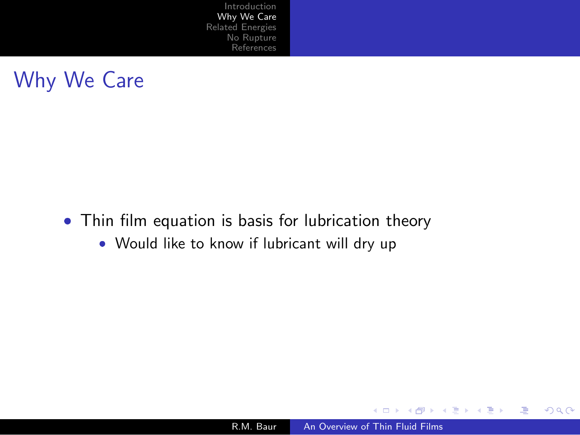

- Thin film equation is basis for lubrication theory
	- Would like to know if lubricant will dry up

R.M. Baur An [Overview](#page-0-0) of Thin Fluid Films

4 0 8

<span id="page-4-0"></span>∢ 御 ▶ ( / 唐 ▶ ( / 唐 ▶

≞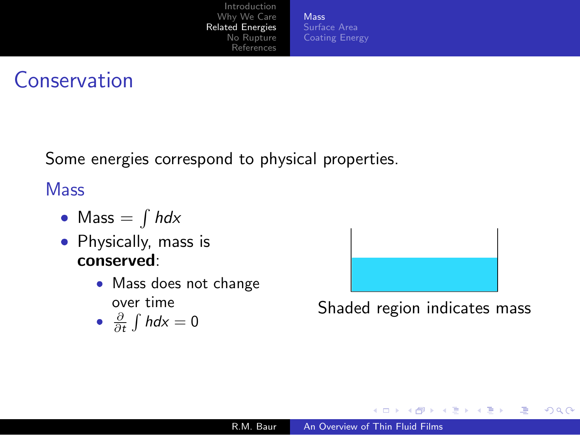[Mass](#page-5-0) [Surface](#page-6-0) Area [Coating](#page-7-0) Energy

## **Conservation**

Some energies correspond to physical properties.

**Mass** 

- $\bullet\,$  Mass  $=\int h dx$
- $\bullet\,$  Physically, mass is conserved:
	- Mass does not change over time

• 
$$
\frac{\partial}{\partial t} \int h dx = 0
$$



Shaded region indicates mass

<span id="page-5-0"></span>重

 $\sim$ 

∍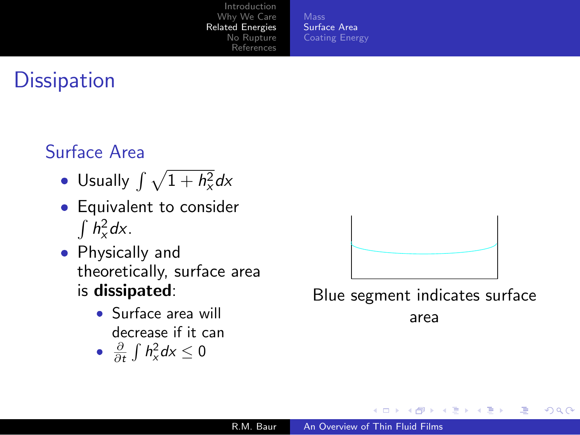[Surface](#page-6-0) Area [Coating](#page-7-0) Energy

# **Dissipation**

### Surface Area

- $\bullet\,$  Usually  $\int\sqrt{1+h_{\chi}^2}dx$
- $\bullet\,$  Equivalent to consider  $\int h_x^2 dx$ .
- Physically and theoretically, surface area is dissipated:
	- Surface area will decrease if it can
	- $\frac{\partial}{\partial t} \int h_x^2 dx \leq 0$



Blue segment indicates surface

<span id="page-6-0"></span>Ξ

∍

 $209$ 

area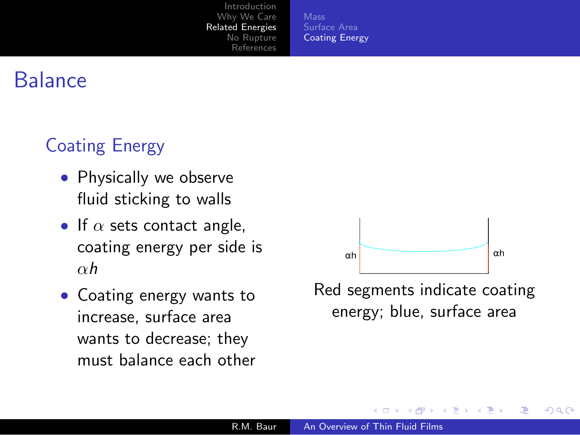[Surface](#page-6-0) Area [Coating](#page-7-0) Energy

### **Balance**

### Coating Energy

- $\bullet\,$  Physically we observe fluid sticking to walls
- $\bullet\,$  If  $\alpha$  sets contact angle, coating energy per side is  $\alpha h$
- Coating energy wants to increase, surface area wants to decrease; they must balance each other



<span id="page-7-0"></span>Red segments indicate coating energy; blue, surface area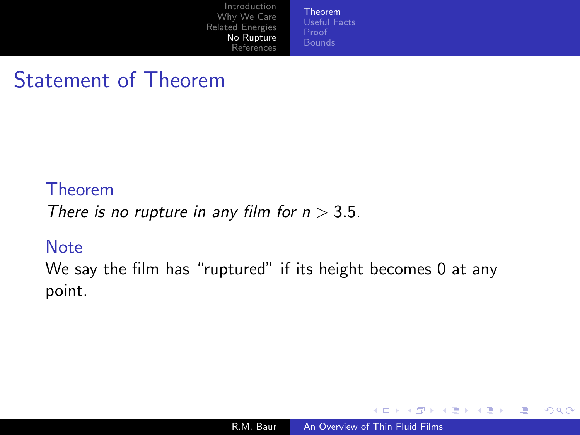[Theorem](#page-8-0) [Useful](#page-9-0) Facts

# Statement of Theorem

#### Theorem

There is no rupture in any film for  $n > 3.5$ .

#### **Note**

We say the film has "ruptured" if its height becomes 0 at any point.

a mills

 $\sim$ 

<span id="page-8-0"></span>Æ

化重复 化重变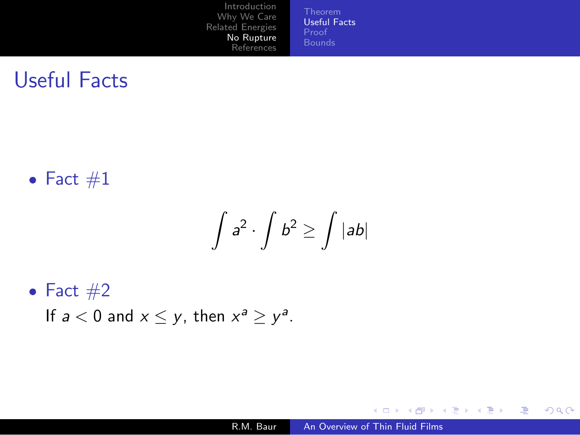[Useful](#page-9-0) Facts [Proof](#page-10-0)

# Useful Facts

 $\bullet$  Fact  $\#1$ 

$$
\int a^2 \cdot \int b^2 \ge \int |ab|
$$

 $\bullet$  Fact  $\#2$ 

If  $a < 0$  and  $x \leq y$ , then  $x^a \geq y^a$ .

4 0 8

唐

<span id="page-9-0"></span>→ 伊 ▶ → 君 ▶ → 君 ▶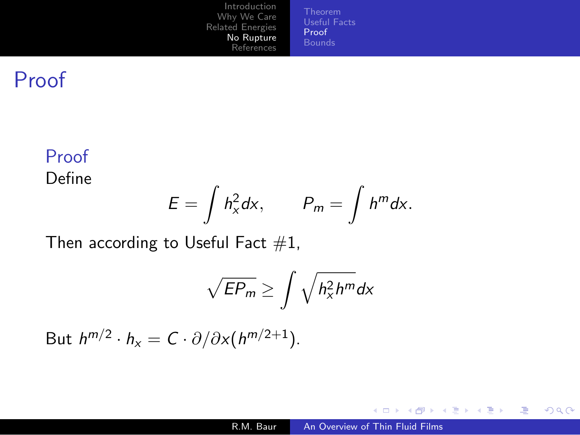[Useful](#page-9-0) Facts [Proof](#page-10-0)

## Proof

#### Proof

Define

$$
E=\int h_x^2 dx, \qquad P_m=\int h^m dx.
$$

Then according to Useful Fact  $#1$ ,

$$
\sqrt{EP_m} \ge \int \sqrt{h_x^2 h^m} dx
$$

But  $h^{m/2} \cdot h_x = C \cdot \partial / \partial x (h^{m/2+1}).$ 

4 0 8

<span id="page-10-0"></span>→ 伊 ▶ → 君 ▶ → 君 ▶ →

 $299$ 

注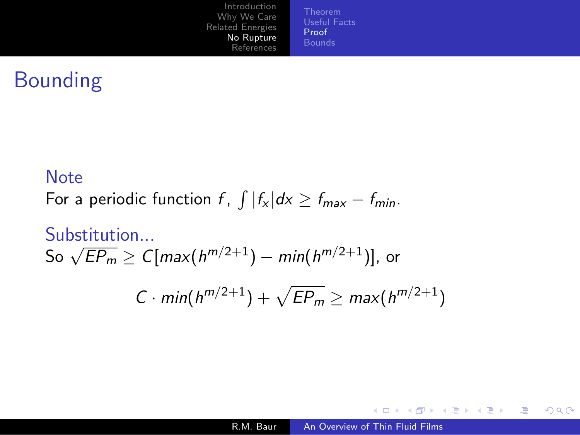[Useful](#page-9-0) Facts [Proof](#page-10-0)

# Bounding

#### **Note**

For a periodic function f,  $\int |f_x| dx \ge f_{max} - f_{min}$ .

#### Substitution...

So 
$$
\sqrt{EP_m} \ge C[\max(h^{m/2+1}) - \min(h^{m/2+1})]
$$
, or

$$
C \cdot min(h^{m/2+1}) + \sqrt{EP_m} \geq max(h^{m/2+1})
$$

唐

メロト メ団 トメ き トメ き ト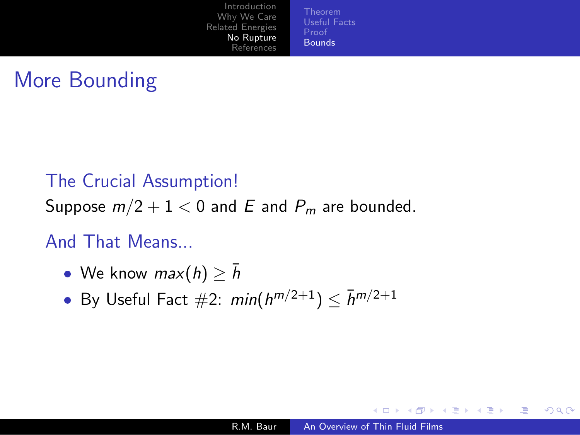[Theorem](#page-8-0) [Useful](#page-9-0) Facts [Bounds](#page-12-0)

# More Bounding

#### The Crucial Assumption!

Suppose  $m/2 + 1 < 0$  and E and  $P_m$  are bounded.

#### And That Means...

- We know  $max(h) \geq \bar{h}$
- By Useful Fact  $\#2: min(h^{m/2+1}) \leq \bar{h}^{m/2+1}$

化重复 化重变

<span id="page-12-0"></span> $\sim$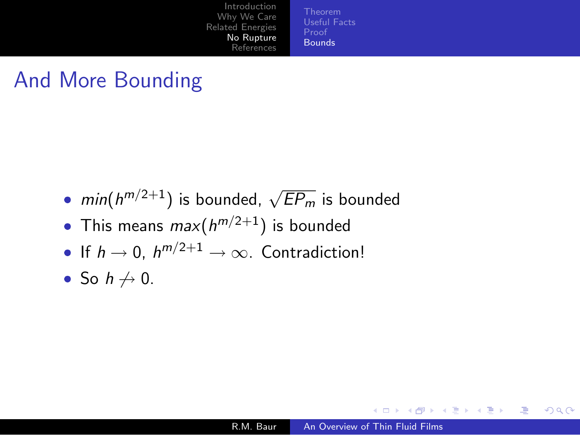[Theorem](#page-8-0) [Useful](#page-9-0) Facts [Bounds](#page-12-0)

# And More Bounding

- $\textit{min}(\textit{h}^{\textit{m}/2+1})$  is bounded,  $\sqrt{E P_m}$  is bounded
- $\bullet\,$  This means  $max(h^{m/2+1})$  is bounded
- If  $h \to 0$ ,  $h^{m/2+1} \to \infty$ . Contradiction!
- So  $h \not\to 0$ .

a mills

→ 何 ▶ → ヨ ▶ → ヨ ▶ →

≞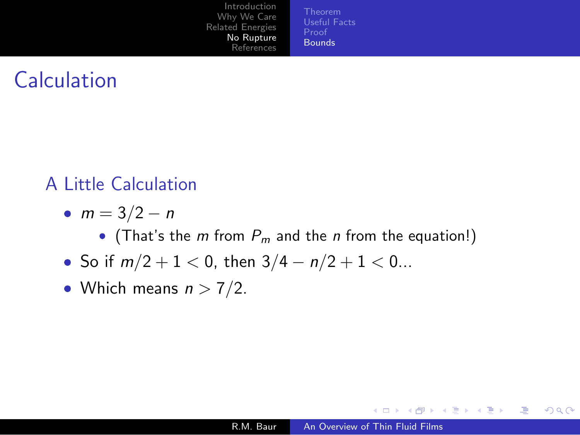[Useful](#page-9-0) Facts [Bounds](#page-12-0)

# **Calculation**

### A Little Calculation

- $m = 3/2 n$ 
	- $\bullet$  (That's the  $m$  from  $P_m$  and the  $n$  from the equation!)
- So if  $m/2 + 1 < 0$ , then  $3/4 n/2 + 1 < 0...$
- Which means  $n > 7/2$ .

a mills

∢ 何 ▶ -∢ 手 ▶ -∢ 手 ▶

≞